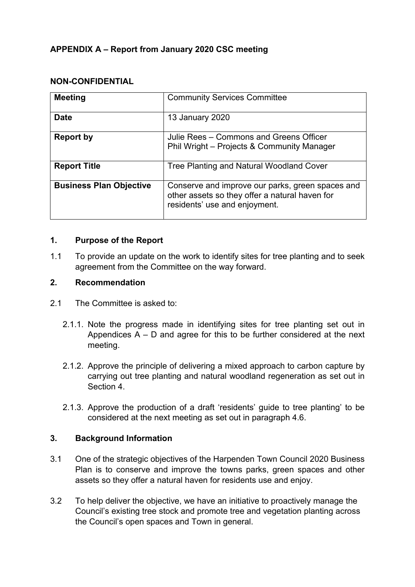# **APPENDIX A – Report from January 2020 CSC meeting**

#### **NON-CONFIDENTIAL**

| <b>Meeting</b>                 | <b>Community Services Committee</b>                                                                                                 |
|--------------------------------|-------------------------------------------------------------------------------------------------------------------------------------|
| <b>Date</b>                    | <b>13 January 2020</b>                                                                                                              |
| <b>Report by</b>               | Julie Rees – Commons and Greens Officer<br>Phil Wright - Projects & Community Manager                                               |
| <b>Report Title</b>            | Tree Planting and Natural Woodland Cover                                                                                            |
| <b>Business Plan Objective</b> | Conserve and improve our parks, green spaces and<br>other assets so they offer a natural haven for<br>residents' use and enjoyment. |

#### **1. Purpose of the Report**

1.1 To provide an update on the work to identify sites for tree planting and to seek agreement from the Committee on the way forward.

### **2. Recommendation**

- 2.1 The Committee is asked to:
	- 2.1.1. Note the progress made in identifying sites for tree planting set out in Appendices  $A - D$  and agree for this to be further considered at the next meeting.
	- 2.1.2. Approve the principle of delivering a mixed approach to carbon capture by carrying out tree planting and natural woodland regeneration as set out in Section 4.
	- 2.1.3. Approve the production of a draft 'residents' guide to tree planting' to be considered at the next meeting as set out in paragraph 4.6.

#### **3. Background Information**

- 3.1 One of the strategic objectives of the Harpenden Town Council 2020 Business Plan is to conserve and improve the towns parks, green spaces and other assets so they offer a natural haven for residents use and enjoy.
- 3.2 To help deliver the objective, we have an initiative to proactively manage the Council's existing tree stock and promote tree and vegetation planting across the Council's open spaces and Town in general.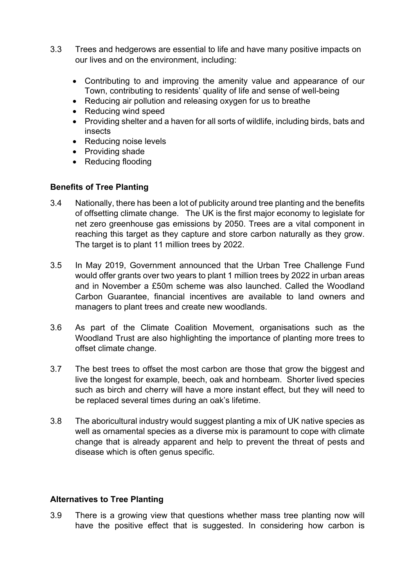- 3.3 Trees and hedgerows are essential to life and have many positive impacts on our lives and on the environment, including:
	- Contributing to and improving the amenity value and appearance of our Town, contributing to residents' quality of life and sense of well-being
	- Reducing air pollution and releasing oxygen for us to breathe
	- Reducing wind speed
	- Providing shelter and a haven for all sorts of wildlife, including birds, bats and insects
	- Reducing noise levels
	- Providing shade
	- Reducing flooding

### **Benefits of Tree Planting**

- 3.4 Nationally, there has been a lot of publicity around tree planting and the benefits of offsetting climate change. The UK is the first major economy to legislate for net zero greenhouse gas emissions by 2050. Trees are a vital component in reaching this target as they capture and store carbon naturally as they grow. The target is to plant 11 million trees by 2022.
- 3.5 In May 2019, Government announced that the Urban Tree Challenge Fund would offer grants over two years to plant 1 million trees by 2022 in urban areas and in November a £50m scheme was also launched. Called the Woodland Carbon Guarantee, financial incentives are available to land owners and managers to plant trees and create new woodlands.
- 3.6 As part of the Climate Coalition Movement, organisations such as the Woodland Trust are also highlighting the importance of planting more trees to offset climate change.
- 3.7 The best trees to offset the most carbon are those that grow the biggest and live the longest for example, beech, oak and hornbeam. Shorter lived species such as birch and cherry will have a more instant effect, but they will need to be replaced several times during an oak's lifetime.
- 3.8 The aboricultural industry would suggest planting a mix of UK native species as well as ornamental species as a diverse mix is paramount to cope with climate change that is already apparent and help to prevent the threat of pests and disease which is often genus specific.

#### **Alternatives to Tree Planting**

3.9 There is a growing view that questions whether mass tree planting now will have the positive effect that is suggested. In considering how carbon is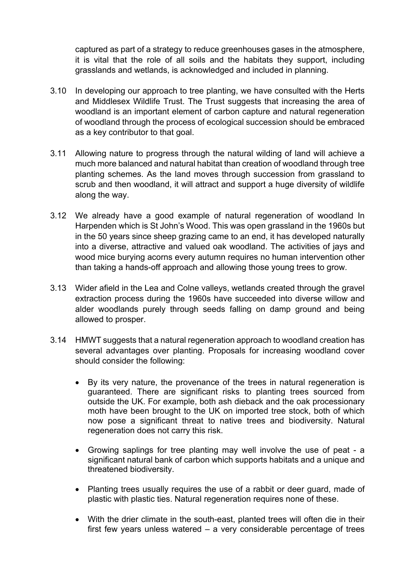captured as part of a strategy to reduce greenhouses gases in the atmosphere, it is vital that the role of all soils and the habitats they support, including grasslands and wetlands, is acknowledged and included in planning.

- 3.10 In developing our approach to tree planting, we have consulted with the Herts and Middlesex Wildlife Trust. The Trust suggests that increasing the area of woodland is an important element of carbon capture and natural regeneration of woodland through the process of ecological succession should be embraced as a key contributor to that goal.
- 3.11 Allowing nature to progress through the natural wilding of land will achieve a much more balanced and natural habitat than creation of woodland through tree planting schemes. As the land moves through succession from grassland to scrub and then woodland, it will attract and support a huge diversity of wildlife along the way.
- 3.12 We already have a good example of natural regeneration of woodland In Harpenden which is St John's Wood. This was open grassland in the 1960s but in the 50 years since sheep grazing came to an end, it has developed naturally into a diverse, attractive and valued oak woodland. The activities of jays and wood mice burying acorns every autumn requires no human intervention other than taking a hands-off approach and allowing those young trees to grow.
- 3.13 Wider afield in the Lea and Colne valleys, wetlands created through the gravel extraction process during the 1960s have succeeded into diverse willow and alder woodlands purely through seeds falling on damp ground and being allowed to prosper.
- 3.14 HMWT suggests that a natural regeneration approach to woodland creation has several advantages over planting. Proposals for increasing woodland cover should consider the following:
	- By its very nature, the provenance of the trees in natural regeneration is guaranteed. There are significant risks to planting trees sourced from outside the UK. For example, both ash dieback and the oak processionary moth have been brought to the UK on imported tree stock, both of which now pose a significant threat to native trees and biodiversity. Natural regeneration does not carry this risk.
	- Growing saplings for tree planting may well involve the use of peat a significant natural bank of carbon which supports habitats and a unique and threatened biodiversity.
	- Planting trees usually requires the use of a rabbit or deer quard, made of plastic with plastic ties. Natural regeneration requires none of these.
	- With the drier climate in the south-east, planted trees will often die in their first few years unless watered – a very considerable percentage of trees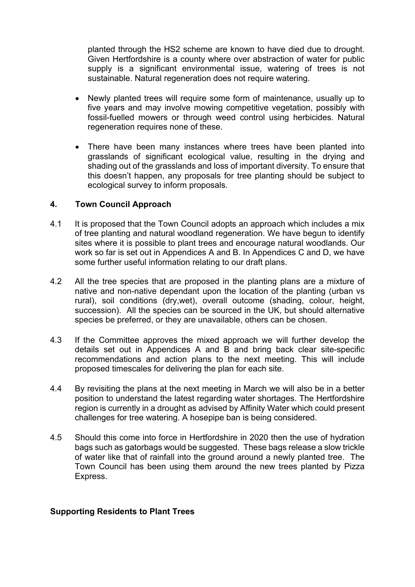planted through the HS2 scheme are known to have died due to drought. Given Hertfordshire is a county where over abstraction of water for public supply is a significant environmental issue, watering of trees is not sustainable. Natural regeneration does not require watering.

- Newly planted trees will require some form of maintenance, usually up to five years and may involve mowing competitive vegetation, possibly with fossil-fuelled mowers or through weed control using herbicides. Natural regeneration requires none of these.
- There have been many instances where trees have been planted into grasslands of significant ecological value, resulting in the drying and shading out of the grasslands and loss of important diversity. To ensure that this doesn't happen, any proposals for tree planting should be subject to ecological survey to inform proposals.

#### **4. Town Council Approach**

- 4.1 It is proposed that the Town Council adopts an approach which includes a mix of tree planting and natural woodland regeneration. We have begun to identify sites where it is possible to plant trees and encourage natural woodlands. Our work so far is set out in Appendices A and B. In Appendices C and D, we have some further useful information relating to our draft plans.
- 4.2 All the tree species that are proposed in the planting plans are a mixture of native and non-native dependant upon the location of the planting (urban vs rural), soil conditions (dry,wet), overall outcome (shading, colour, height, succession). All the species can be sourced in the UK, but should alternative species be preferred, or they are unavailable, others can be chosen.
- 4.3 If the Committee approves the mixed approach we will further develop the details set out in Appendices A and B and bring back clear site-specific recommendations and action plans to the next meeting. This will include proposed timescales for delivering the plan for each site.
- 4.4 By revisiting the plans at the next meeting in March we will also be in a better position to understand the latest regarding water shortages. The Hertfordshire region is currently in a drought as advised by Affinity Water which could present challenges for tree watering. A hosepipe ban is being considered.
- 4.5 Should this come into force in Hertfordshire in 2020 then the use of hydration bags such as gatorbags would be suggested. These bags release a slow trickle of water like that of rainfall into the ground around a newly planted tree. The Town Council has been using them around the new trees planted by Pizza Express.

#### **Supporting Residents to Plant Trees**